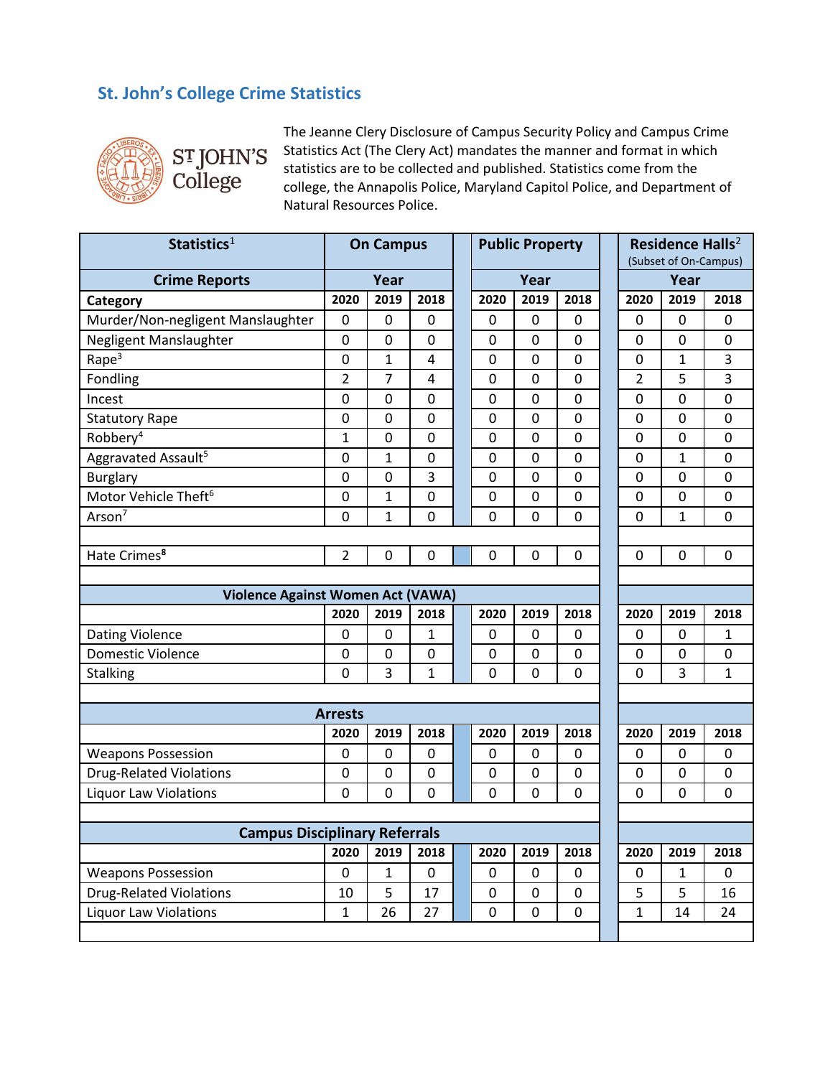## **St. John's College Crime Statistics**



The Jeanne Clery Disclosure of Campus Security Policy and Campus Crime Statistics Act (The Clery Act) mandates the manner and format in which statistics are to be collected and published. Statistics come from the college, the Annapolis Police, Maryland Capitol Police, and Department of Natural Resources Police.

| Statistics <sup>1</sup>                  | <b>On Campus</b> |                |                |  | <b>Public Property</b> |                |                |  | Residence Halls <sup>2</sup><br>(Subset of On-Campus) |              |              |
|------------------------------------------|------------------|----------------|----------------|--|------------------------|----------------|----------------|--|-------------------------------------------------------|--------------|--------------|
| <b>Crime Reports</b>                     | Year             |                |                |  | Year                   |                |                |  | Year                                                  |              |              |
| Category                                 | 2020             | 2019           | 2018           |  | 2020                   | 2019           | 2018           |  | 2020                                                  | 2019         | 2018         |
| Murder/Non-negligent Manslaughter        | $\mathbf 0$      | 0              | 0              |  | 0                      | 0              | 0              |  | 0                                                     | 0            | 0            |
| Negligent Manslaughter                   | 0                | 0              | 0              |  | $\mathbf 0$            | 0              | $\mathbf 0$    |  | 0                                                     | 0            | 0            |
| Rape <sup>3</sup>                        | $\mathbf 0$      | 1              | $\overline{4}$ |  | $\mathbf 0$            | 0              | $\overline{0}$ |  | 0                                                     | $\mathbf{1}$ | 3            |
| Fondling                                 | $\overline{2}$   | 7              | 4              |  | $\mathbf 0$            | 0              | $\mathbf 0$    |  | $\overline{2}$                                        | 5            | 3            |
| Incest                                   | 0                | 0              | $\overline{0}$ |  | $\mathbf 0$            | 0              | 0              |  | 0                                                     | 0            | 0            |
| <b>Statutory Rape</b>                    | 0                | 0              | 0              |  | $\mathbf 0$            | 0              | $\mathbf 0$    |  | 0                                                     | 0            | 0            |
| Robbery <sup>4</sup>                     | $\mathbf{1}$     | 0              | 0              |  | $\pmb{0}$              | 0              | $\mathbf 0$    |  | 0                                                     | 0            | 0            |
| Aggravated Assault <sup>5</sup>          | 0                | $\overline{1}$ | 0              |  | $\mathbf 0$            | 0              | $\mathbf 0$    |  | 0                                                     | $\mathbf{1}$ | $\mathsf 0$  |
| <b>Burglary</b>                          | $\mathbf 0$      | 0              | 3              |  | $\mathbf 0$            | 0              | $\mathbf 0$    |  | 0                                                     | 0            | 0            |
| Motor Vehicle Theft <sup>6</sup>         | 0                | $\mathbf{1}$   | 0              |  | $\mathbf 0$            | 0              | 0              |  | $\mathbf 0$                                           | 0            | 0            |
| Arson <sup>7</sup>                       | 0                | 1              | $\overline{0}$ |  | $\mathbf 0$            | 0              | $\overline{0}$ |  | 0                                                     | $\mathbf{1}$ | 0            |
|                                          |                  |                |                |  |                        |                |                |  |                                                       |              |              |
| Hate Crimes <sup>8</sup>                 | $\overline{2}$   | 0              | 0              |  | 0                      | 0              | 0              |  | 0                                                     | 0            | 0            |
|                                          |                  |                |                |  |                        |                |                |  |                                                       |              |              |
| <b>Violence Against Women Act (VAWA)</b> |                  |                |                |  |                        |                |                |  |                                                       |              |              |
|                                          | 2020             | 2019           | 2018           |  | 2020                   | 2019           | 2018           |  | 2020                                                  | 2019         | 2018         |
| Dating Violence                          | 0                | 0              | 1              |  | $\pmb{0}$              | 0              | $\pmb{0}$      |  | 0                                                     | 0            | $\mathbf{1}$ |
| Domestic Violence                        | 0                | 0              | 0              |  | 0                      | 0              | 0              |  | 0                                                     | 0            | 0            |
| Stalking                                 | $\overline{0}$   | 3              | $\mathbf{1}$   |  | 0                      | 0              | 0              |  | 0                                                     | 3            | $\mathbf{1}$ |
|                                          |                  |                |                |  |                        |                |                |  |                                                       |              |              |
|                                          | <b>Arrests</b>   |                |                |  |                        |                |                |  |                                                       |              |              |
|                                          | 2020             | 2019           | 2018           |  | 2020                   | 2019           | 2018           |  | 2020                                                  | 2019         | 2018         |
| <b>Weapons Possession</b>                | 0                | 0              | 0              |  | 0                      | 0              | 0              |  | 0                                                     | 0            | 0            |
| <b>Drug-Related Violations</b>           | $\mathbf 0$      | 0              | 0              |  | 0                      | 0              | 0              |  | 0                                                     | 0            | 0            |
| <b>Liquor Law Violations</b>             | 0                | 0              | 0              |  | $\overline{0}$         | 0              | 0              |  | 0                                                     | 0            | 0            |
|                                          |                  |                |                |  |                        |                |                |  |                                                       |              |              |
| <b>Campus Disciplinary Referrals</b>     |                  |                |                |  |                        |                |                |  |                                                       |              |              |
|                                          | 2020             | 2019           | 2018           |  | 2020                   | 2019           | 2018           |  | 2020                                                  | 2019         | 2018         |
| <b>Weapons Possession</b>                | $\mathbf 0$      | $\mathbf{1}$   | 0              |  | $\mathbf 0$            | 0              | $\mathbf 0$    |  | 0                                                     | $\mathbf{1}$ | 0            |
| <b>Drug-Related Violations</b>           | 10               | 5              | 17             |  | 0                      | 0              | $\mathbf 0$    |  | 5                                                     | 5            | 16           |
| <b>Liquor Law Violations</b>             | $\mathbf{1}$     | 26             | 27             |  | $\mathbf 0$            | $\overline{0}$ | $\mathbf 0$    |  | $\overline{1}$                                        | 14           | 24           |
|                                          |                  |                |                |  |                        |                |                |  |                                                       |              |              |